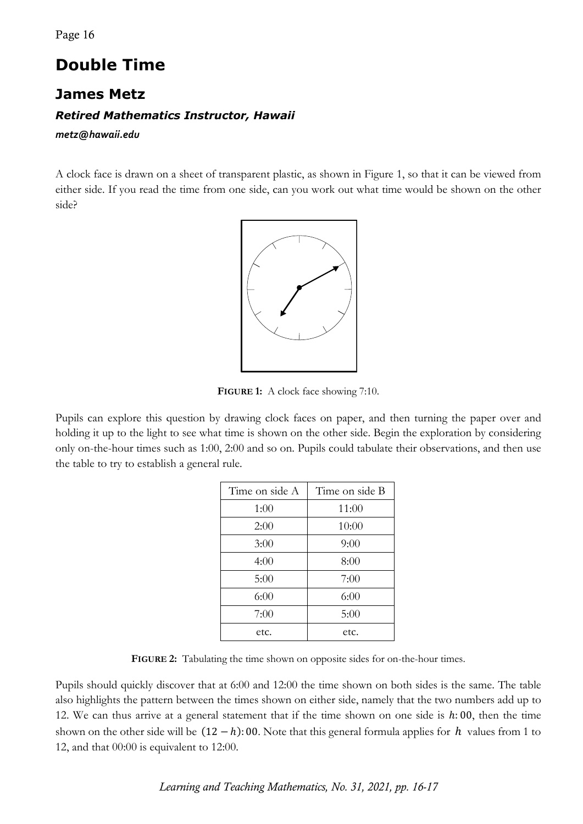## **Double Time**

## **James Metz**

## *Retired Mathematics Instructor, Hawaii*

*metz@hawaii.edu*

A clock face is drawn on a sheet of transparent plastic, as shown in Figure 1, so that it can be viewed from either side. If you read the time from one side, can you work out what time would be shown on the other side?



**FIGURE 1:** A clock face showing 7:10.

Pupils can explore this question by drawing clock faces on paper, and then turning the paper over and holding it up to the light to see what time is shown on the other side. Begin the exploration by considering only on-the-hour times such as 1:00, 2:00 and so on. Pupils could tabulate their observations, and then use the table to try to establish a general rule.

| Time on side A | Time on side B |
|----------------|----------------|
| 1:00           | 11:00          |
| 2:00           | 10:00          |
| 3:00           | 9:00           |
| 4:00           | 8:00           |
| 5:00           | 7:00           |
| 6:00           | 6:00           |
| 7:00           | 5:00           |
| etc.           | etc.           |

**FIGURE 2:** Tabulating the time shown on opposite sides for on-the-hour times.

Pupils should quickly discover that at 6:00 and 12:00 the time shown on both sides is the same. The table also highlights the pattern between the times shown on either side, namely that the two numbers add up to 12. We can thus arrive at a general statement that if the time shown on one side is  $h: 00$ , then the time shown on the other side will be  $(12 - h)$ : 00. Note that this general formula applies for  $h$  values from 1 to 12, and that 00:00 is equivalent to 12:00.